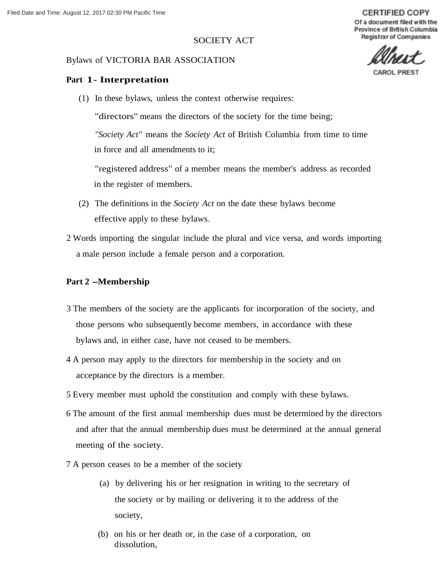# SOCIETY ACT

#### Bylaws of VICTORIA BAR ASSOCIATION

## **Part 1- Interpretation**

(1) In these bylaws, unless the context otherwise requires:

"directors" means the directors of the society for the time being; *"Society Act"* means the *Society Act* of British Columbia from time to time in force and all amendments to it;

"registered address" of a member means the member's address as recorded in the register of members.

- (2) The definitions in the *Society Act* on the date these bylaws become effective apply to these bylaws.
- 2 Words importing the singular include the plural and vice versa, and words importing a male person include a female person and a corporation.

#### **Part 2 -Membership**

- 3 The members of the society are the applicants for incorporation of the society, and those persons who subsequently become members, in accordance with these bylaws and, in either case, have not ceased to be members.
- 4 A person may apply to the directors for membership in the society and on acceptance by the directors is a member.
- 5 Every member must uphold the constitution and comply with these bylaws.
- 6 The amount of the first annual membership dues must be determined by the directors and after that the annual membership dues must be determined at the annual general meeting of the society.
- 7 A person ceases to be a member of the society
	- (a) by delivering his or her resignation in writing to the secretary of the society or by mailing or delivering it to the address of the society,
	- (b) on his or her death or, in the case of a corporation, on dissolution,



**CERTIFIED COPY** Of a document filed with the Province of British Columbia

CAROL P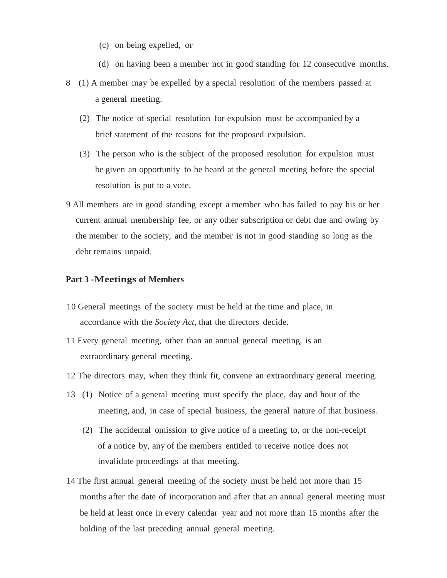- (c) on being expelled, or
- (d) on having been a member not in good standing for 12 consecutive months.
- 8 (1) A member may be expelled by a special resolution of the members passed at a general meeting.
	- (2) The notice of special resolution for expulsion must be accompanied by a brief statement of the reasons for the proposed expulsion.
	- (3) The person who is the subject of the proposed resolution for expulsion must be given an opportunity to be heard at the general meeting before the special resolution is put to a vote.
- 9 All members are in good standing except a member who has failed to pay his or her current annual membership fee, or any other subscription or debt due and owing by the member to the society, and the member is not in good standing so long as the debt remains unpaid.

#### **Part 3 -Meetings of Members**

- 10 General meetings of the society must be held at the time and place, in accordance with the *Society Act,* that the directors decide.
- 11 Every general meeting, other than an annual general meeting, is an extraordinary general meeting.
- 12 The directors may, when they think fit, convene an extraordinary general meeting.
- 13 (1) Notice of a general meeting must specify the place, day and hour of the meeting, and, in case of special business, the general nature of that business.
	- (2) The accidental omission to give notice of a meeting to, or the non-receipt of a notice by, any of the members entitled to receive notice does not invalidate proceedings at that meeting.
- 14 The first annual general meeting of the society must be held not more than 15 months after the date of incorporation and after that an annual general meeting must be held at least once in every calendar year and not more than 15 months after the holding of the last preceding annual general meeting.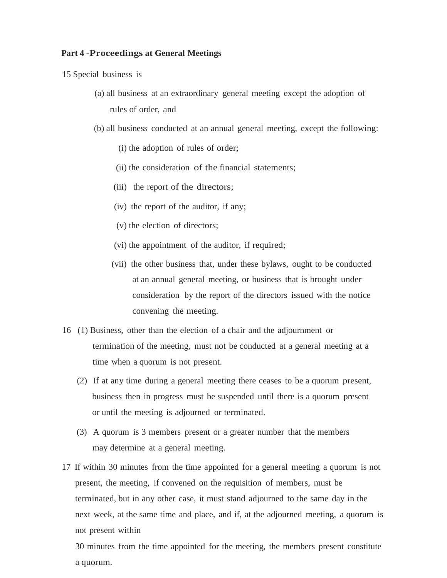#### **Part 4 -Proceedings at General Meetings**

15 Special business is

- (a) all business at an extraordinary general meeting except the adoption of rules of order, and
- (b) all business conducted at an annual general meeting, except the following:
	- (i) the adoption of rules of order;
	- (ii) the consideration of the financial statements;
	- (iii) the report of the directors;
	- (iv) the report of the auditor, if any;
	- (v) the election of directors;
	- (vi) the appointment of the auditor, if required;
	- (vii) the other business that, under these bylaws, ought to be conducted at an annual general meeting, or business that is brought under consideration by the report of the directors issued with the notice convening the meeting.
- 16 (1) Business, other than the election of a chair and the adjournment or termination of the meeting, must not be conducted at a general meeting at a time when a quorum is not present.
	- (2) If at any time during a general meeting there ceases to be a quorum present, business then in progress must be suspended until there is a quorum present or until the meeting is adjourned or terminated.
	- (3) A quorum is 3 members present or a greater number that the members may determine at a general meeting.
- 17 If within 30 minutes from the time appointed for a general meeting a quorum is not present, the meeting, if convened on the requisition of members, must be terminated, but in any other case, it must stand adjourned to the same day in the next week, at the same time and place, and if, at the adjourned meeting, a quorum is not present within

30 minutes from the time appointed for the meeting, the members present constitute a quorum.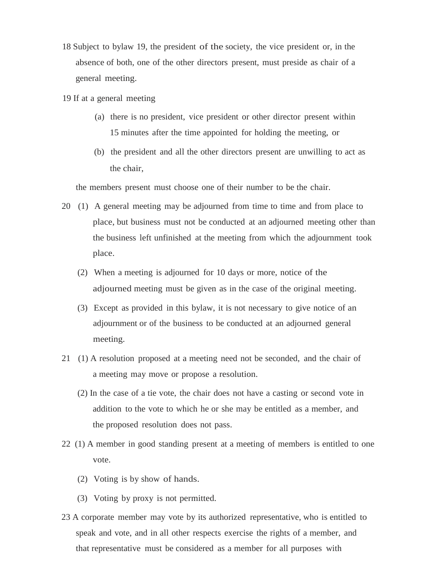- 18 Subject to bylaw 19, the president of the society, the vice president or, in the absence of both, one of the other directors present, must preside as chair of a general meeting.
- 19 If at a general meeting
	- (a) there is no president, vice president or other director present within 15 minutes after the time appointed for holding the meeting, or
	- (b) the president and all the other directors present are unwilling to act as the chair,

the members present must choose one of their number to be the chair.

- 20 (1) A general meeting may be adjourned from time to time and from place to place, but business must not be conducted at an adjourned meeting other than the business left unfinished at the meeting from which the adjournment took place.
	- (2) When a meeting is adjourned for 10 days or more, notice of the adjourned meeting must be given as in the case of the original meeting.
	- (3) Except as provided in this bylaw, it is not necessary to give notice of an adjournment or of the business to be conducted at an adjourned general meeting.
- 21 (1) A resolution proposed at a meeting need not be seconded, and the chair of a meeting may move or propose a resolution.
	- (2) In the case of a tie vote, the chair does not have a casting or second vote in addition to the vote to which he or she may be entitled as a member, and the proposed resolution does not pass.
- 22 (1) A member in good standing present at a meeting of members is entitled to one vote.
	- (2) Voting is by show of hands.
	- (3) Voting by proxy is not permitted.
- 23 A corporate member may vote by its authorized representative, who is entitled to speak and vote, and in all other respects exercise the rights of a member, and that representative must be considered as a member for all purposes with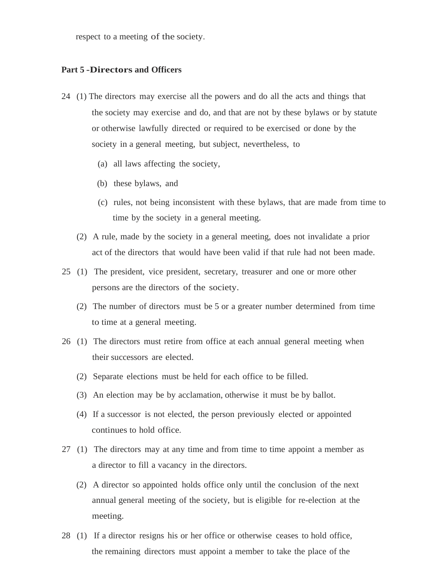respect to a meeting of the society.

#### **Part 5 -Directors and Officers**

- 24 (1) The directors may exercise all the powers and do all the acts and things that the society may exercise and do, and that are not by these bylaws or by statute or otherwise lawfully directed or required to be exercised or done by the society in a general meeting, but subject, nevertheless, to
	- (a) all laws affecting the society,
	- (b) these bylaws, and
	- (c) rules, not being inconsistent with these bylaws, that are made from time to time by the society in a general meeting.
	- (2) A rule, made by the society in a general meeting, does not invalidate a prior act of the directors that would have been valid if that rule had not been made.
- 25 (1) The president, vice president, secretary, treasurer and one or more other persons are the directors of the society.
	- (2) The number of directors must be 5 or a greater number determined from time to time at a general meeting.
- 26 (1) The directors must retire from office at each annual general meeting when their successors are elected.
	- (2) Separate elections must be held for each office to be filled.
	- (3) An election may be by acclamation, otherwise it must be by ballot.
	- (4) If a successor is not elected, the person previously elected or appointed continues to hold office.
- 27 (1) The directors may at any time and from time to time appoint a member as a director to fill a vacancy in the directors.
	- (2) A director so appointed holds office only until the conclusion of the next annual general meeting of the society, but is eligible for re-election at the meeting.
- 28 (1) If a director resigns his or her office or otherwise ceases to hold office, the remaining directors must appoint a member to take the place of the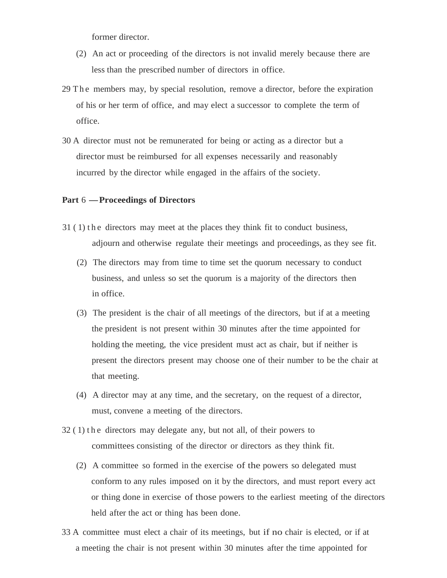former director.

- (2) An act or proceeding of the directors is not invalid merely because there are less than the prescribed number of directors in office.
- 29 The members may, by special resolution, remove a director, before the expiration of his or her term of office, and may elect a successor to complete the term of office.
- 30 A director must not be remunerated for being or acting as a director but a director must be reimbursed for all expenses necessarily and reasonably incurred by the director while engaged in the affairs of the society.

#### **Part** <sup>6</sup> -**Proceedings of Directors**

- $31$  (1) the directors may meet at the places they think fit to conduct business, adjourn and otherwise regulate their meetings and proceedings, as they see fit.
	- (2) The directors may from time to time set the quorum necessary to conduct business, and unless so set the quorum is a majority of the directors then in office.
	- (3) The president is the chair of all meetings of the directors, but if at a meeting the president is not present within 30 minutes after the time appointed for holding the meeting, the vice president must act as chair, but if neither is present the directors present may choose one of their number to be the chair at that meeting.
	- (4) A director may at any time, and the secretary, on the request of a director, must, convene a meeting of the directors.
- $32(1)$  the directors may delegate any, but not all, of their powers to committees consisting of the director or directors as they think fit.
	- (2) A committee so formed in the exercise of the powers so delegated must conform to any rules imposed on it by the directors, and must report every act or thing done in exercise of those powers to the earliest meeting of the directors held after the act or thing has been done.
- 33 A committee must elect a chair of its meetings, but if no chair is elected, or if at a meeting the chair is not present within 30 minutes after the time appointed for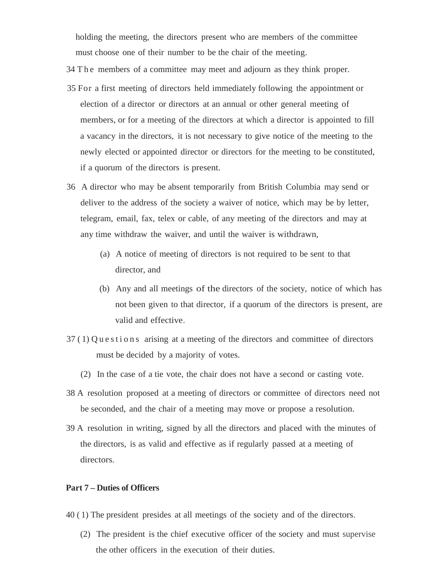holding the meeting, the directors present who are members of the committee must choose one of their number to be the chair of the meeting.

- 34 The members of a committee may meet and adjourn as they think proper.
- · 35 For a first meeting of directors held immediately following the appointment or election of a director or directors at an annual or other general meeting of members, or for a meeting of the directors at which a director is appointed to fill a vacancy in the directors, it is not necessary to give notice of the meeting to the newly elected or appointed director or directors for the meeting to be constituted, if a quorum of the directors is present.
- 36 A director who may be absent temporarily from British Columbia may send or deliver to the address of the society a waiver of notice, which may be by letter, telegram, email, fax, telex or cable, of any meeting of the directors and may at any time withdraw the waiver, and until the waiver is withdrawn,
	- (a) A notice of meeting of directors is not required to be sent to that director, and
	- (b) Any and all meetings of the directors of the society, notice of which has not been given to that director, if a quorum of the directors is present, are valid and effective.
- $37(1)$  Q u e s t i o n s arising at a meeting of the directors and committee of directors must be decided by a majority of votes.
	- (2) In the case of a tie vote, the chair does not have a second or casting vote.
- 38 A resolution proposed at a meeting of directors or committee of directors need not be seconded, and the chair of a meeting may move or propose a resolution.
- 39 A resolution in writing, signed by all the directors and placed with the minutes of the directors, is as valid and effective as if regularly passed at a meeting of directors.

#### **Part 7 – Duties of Officers**

- 40 ( 1) The president presides at all meetings of the society and of the directors.
	- (2) The president is the chief executive officer of the society and must supervise the other officers in the execution of their duties.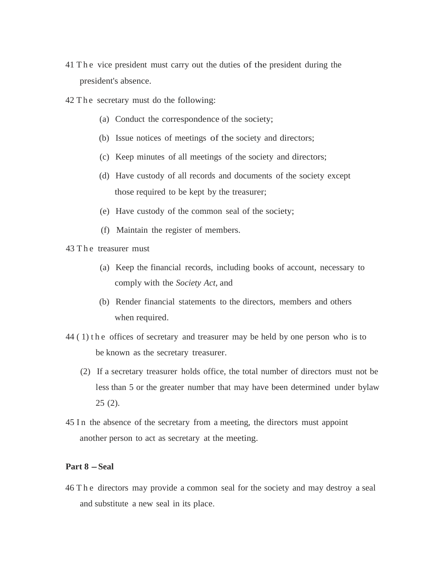- 41 The vice president must carry out the duties of the president during the president's absence.
- 42 The secretary must do the following:
	- (a) Conduct the correspondence of the society;
	- (b) Issue notices of meetings of the society and directors;
	- (c) Keep minutes of all meetings of the society and directors;
	- (d) Have custody of all records and documents of the society except those required to be kept by the treasurer;
	- (e) Have custody of the common seal of the society;
	- (f) Maintain the register of members.
- 43 The treasurer must
	- (a) Keep the financial records, including books of account, necessary to comply with the *Society Act,* and
	- (b) Render financial statements to the directors, members and others when required.
- 44 ( 1) t h e offices of secretary and treasurer may be held by one person who is to be known as the secretary treasurer.
	- (2) If a secretary treasurer holds office, the total number of directors must not be less than 5 or the greater number that may have been determined under bylaw 25 (2).
- 45 In the absence of the secretary from a meeting, the directors must appoint another person to act as secretary at the meeting.

## **Part 8 -Seal**

46 T h e directors may provide a common seal for the society and may destroy a seal and substitute a new seal in its place.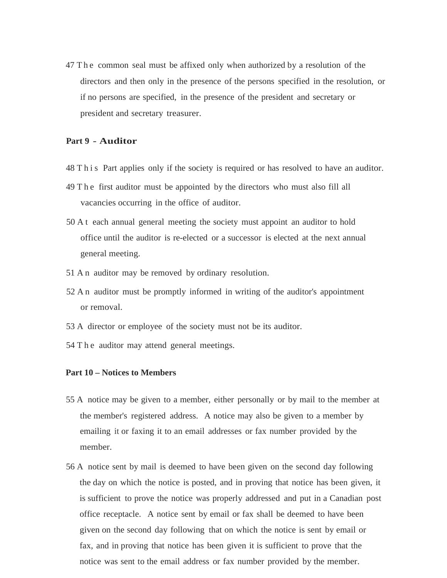47 The common seal must be affixed only when authorized by a resolution of the directors and then only in the presence of the persons specified in the resolution, or if no persons are specified, in the presence of the president and secretary or president and secretary treasurer.

### **Part 9 - Auditor**

- 48 Th is Part applies only if the society is required or has resolved to have an auditor.
- 49 T h e first auditor must be appointed by the directors who must also fill all vacancies occurring in the office of auditor.
- 50 A t each annual general meeting the society must appoint an auditor to hold office until the auditor is re-elected or a successor is elected at the next annual general meeting.
- 51 A n auditor may be removed by ordinary resolution.
- 52 A n auditor must be promptly informed in writing of the auditor's appointment or removal.
- 53 A director or employee of the society must not be its auditor.
- 54 T h e auditor may attend general meetings.

### **Part 10 – Notices to Members**

- 55 A notice may be given to a member, either personally or by mail to the member at the member's registered address. A notice may also be given to a member by emailing it or faxing it to an email addresses or fax number provided by the member.
- 56 A notice sent by mail is deemed to have been given on the second day following the day on which the notice is posted, and in proving that notice has been given, it is sufficient to prove the notice was properly addressed and put in a Canadian post office receptacle. A notice sent by email or fax shall be deemed to have been given on the second day following that on which the notice is sent by email or fax, and in proving that notice has been given it is sufficient to prove that the notice was sent to the email address or fax number provided by the member.